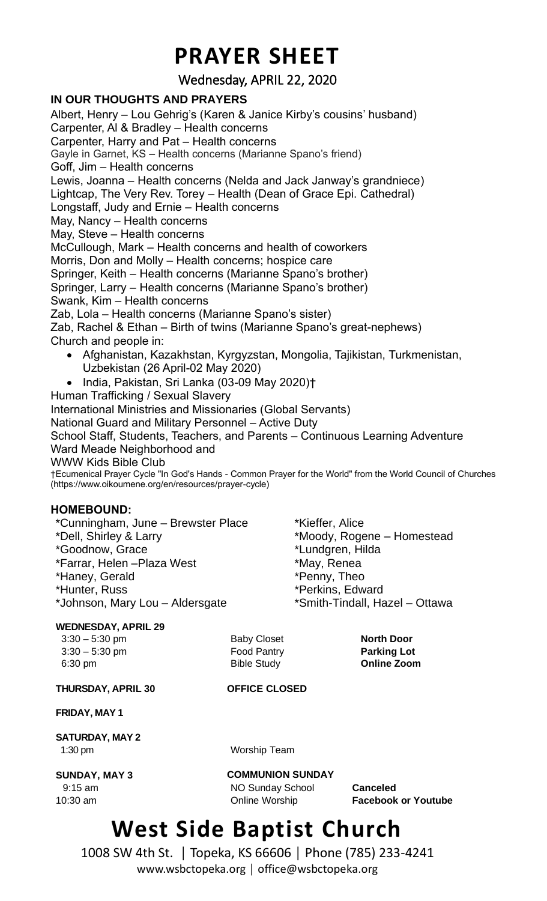## **PRAYER SHEET**

Wednesday, APRIL 22, 2020

### **IN OUR THOUGHTS AND PRAYERS**

Albert, Henry – Lou Gehrig's (Karen & Janice Kirby's cousins' husband) Carpenter, Al & Bradley – Health concerns Carpenter, Harry and Pat – Health concerns Gayle in Garnet, KS – Health concerns (Marianne Spano's friend) Goff, Jim – Health concerns Lewis, Joanna – Health concerns (Nelda and Jack Janway's grandniece) Lightcap, The Very Rev. Torey – Health (Dean of Grace Epi. Cathedral) Longstaff, Judy and Ernie – Health concerns May, Nancy – Health concerns May, Steve – Health concerns McCullough, Mark – Health concerns and health of coworkers Morris, Don and Molly – Health concerns; hospice care Springer, Keith – Health concerns (Marianne Spano's brother) Springer, Larry – Health concerns (Marianne Spano's brother) Swank, Kim – Health concerns Zab, Lola – Health concerns (Marianne Spano's sister) Zab, Rachel & Ethan – Birth of twins (Marianne Spano's great-nephews) Church and people in: • Afghanistan, Kazakhstan, Kyrgyzstan, Mongolia, Tajikistan, Turkmenistan, Uzbekistan (26 April-02 May 2020) • India, Pakistan, Sri Lanka (03-09 May 2020)† Human Trafficking / Sexual Slavery International Ministries and Missionaries (Global Servants) National Guard and Military Personnel – Active Duty School Staff, Students, Teachers, and Parents – Continuous Learning Adventure Ward Meade Neighborhood and WWW Kids Bible Club †Ecumenical Prayer Cycle "In God's Hands - Common Prayer for the World" from the World Council of Churches (https://www.oikoumene.org/en/resources/prayer-cycle)

#### **HOMEBOUND:**

\*Cunningham, June – Brewster Place \*Dell, Shirley & Larry \*Goodnow, Grace \*Farrar, Helen –Plaza West \*Haney, Gerald \*Hunter, Russ \*Johnson, Mary Lou – Aldersgate

#### **WEDNESDAY, APRIL 29**

6:30 pm Bible Study **Online Zoom**

 3:30 – 5:30 pm Baby Closet **North Door** 3:30 – 5:30 pm Food Pantry **Parking Lot**

\*Moody, Rogene – Homestead

\*Smith-Tindall, Hazel – Ottawa

\*Kieffer, Alice

\*Lundgren, Hilda \*May, Renea \*Penny, Theo \*Perkins, Edward

#### **THURSDAY, APRIL 30 OFFICE CLOSED**

**FRIDAY, MAY 1**

**SATURDAY, MAY 2** 1:30 pm Worship Team

**SUNDAY, MAY 3 COMMUNION SUNDAY**

9:15 am NO Sunday School **Canceled**

10:30 am Online Worship **Facebook or Youtube**

## **West Side Baptist Church**

1008 SW 4th St. │ Topeka, KS 66606 │ Phone (785) 233-4241 www.wsbctopeka.org │ office@wsbctopeka.org